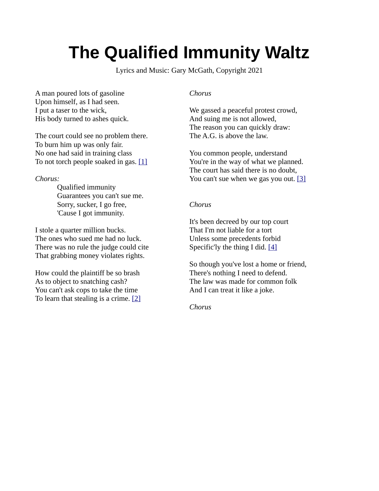# **The Qualified Immunity Waltz**

Lyrics and Music: Gary McGath, Copyright 2021

A man poured lots of gasoline Upon himself, as I had seen. I put a taser to the wick, His body turned to ashes quick.

The court could see no problem there. To burn him up was only fair. No one had said in training class To not torch people soaked in gas. [\[1\]](https://abovethelaw.com/2021/02/fifth-circuit-says-tasing-a-person-soaked-in-gasoline-and-setting-them-on-fire-isnt-an-unreasonable-use-of-force/)

#### *Chorus:*

Qualified immunity Guarantees you can't sue me. Sorry, sucker, I go free, 'Cause I got immunity.

I stole a quarter million bucks. The ones who sued me had no luck. There was no rule the judge could cite That grabbing money violates rights.

How could the plaintiff be so brash As to object to snatching cash? You can't ask cops to take the time To learn that stealing is a crime. [\[2\]](https://reason.com/2020/05/19/qualified-immunity-supreme-court-jessop-theft-kelsay-police-brutality/)

#### *Chorus*

We gassed a peaceful protest crowd, And suing me is not allowed, The reason you can quickly draw: The A.G. is above the law.

You common people, understand You're in the way of what we planned. The court has said there is no doubt, You can't sue when we gas you out. [\[3\]](https://thehill.com/regulation/court-battles/559493-federal-judge-rules-barr-other-officials-have-qualified-immunity)

### *Chorus*

It's been decreed by our top court That I'm not liable for a tort Unless some precedents forbid Specific'ly the thing I did. [\[4\]](https://www.latimes.com/politics/story/2021-05-25/qualified-immunity-congress-george-floyd-police-reform-faq)

So though you've lost a home or friend, There's nothing I need to defend. The law was made for common folk And I can treat it like a joke.

*Chorus*